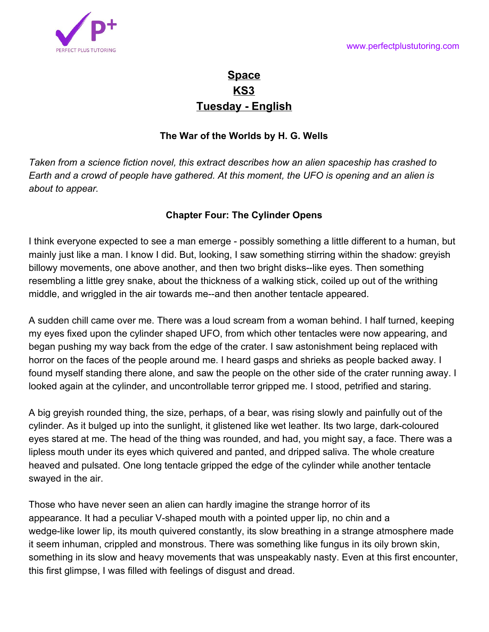

# **Space KS3 Tuesday - English**

### **The War of the Worlds by H. G. Wells**

*Taken from a science fiction novel, this extract describes how an alien spaceship has crashed to Earth and a crowd of people have gathered. At this moment, the UFO is opening and an alien is about to appear.*

## **Chapter Four: The Cylinder Opens**

I think everyone expected to see a man emerge - possibly something a little different to a human, but mainly just like a man. I know I did. But, looking, I saw something stirring within the shadow: greyish billowy movements, one above another, and then two bright disks--like eyes. Then something resembling a little grey snake, about the thickness of a walking stick, coiled up out of the writhing middle, and wriggled in the air towards me--and then another tentacle appeared.

A sudden chill came over me. There was a loud scream from a woman behind. I half turned, keeping my eyes fixed upon the cylinder shaped UFO, from which other tentacles were now appearing, and began pushing my way back from the edge of the crater. I saw astonishment being replaced with horror on the faces of the people around me. I heard gasps and shrieks as people backed away. I found myself standing there alone, and saw the people on the other side of the crater running away. I looked again at the cylinder, and uncontrollable terror gripped me. I stood, petrified and staring.

A big greyish rounded thing, the size, perhaps, of a bear, was rising slowly and painfully out of the cylinder. As it bulged up into the sunlight, it glistened like wet leather. Its two large, dark-coloured eyes stared at me. The head of the thing was rounded, and had, you might say, a face. There was a lipless mouth under its eyes which quivered and panted, and dripped saliva. The whole creature heaved and pulsated. One long tentacle gripped the edge of the cylinder while another tentacle swayed in the air.

Those who have never seen an alien can hardly imagine the strange horror of its appearance. It had a peculiar V-shaped mouth with a pointed upper lip, no chin and a wedge-like lower lip, its mouth quivered constantly, its slow breathing in a strange atmosphere made it seem inhuman, crippled and monstrous. There was something like fungus in its oily brown skin, something in its slow and heavy movements that was unspeakably nasty. Even at this first encounter, this first glimpse, I was filled with feelings of disgust and dread.